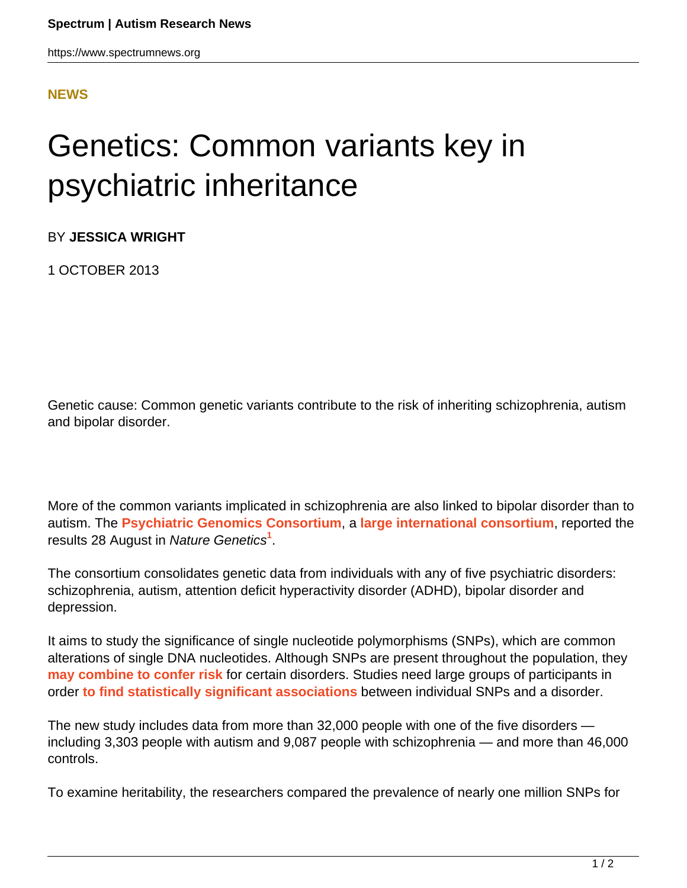## **[NEWS](HTTPS://WWW.SPECTRUMNEWS.ORG/NEWS/)**

## Genetics: Common variants key in psychiatric inheritance

BY **JESSICA WRIGHT**

1 OCTOBER 2013

Genetic cause: Common genetic variants contribute to the risk of inheriting schizophrenia, autism and bipolar disorder.

More of the common variants implicated in schizophrenia are also linked to bipolar disorder than to autism. The **[Psychiatric Genomics Consortium](https://pgc.unc.edu/)**, a **[large international consortium](https://www.spectrumnews.org/conference-news/2009/world-congress-of-psychiatric-genetics-2009/massive-genomics-project-unveils-schizophrenia-results)**, reported the results 28 August in Nature Genetics**<sup>1</sup>** .

The consortium consolidates genetic data from individuals with any of five psychiatric disorders: schizophrenia, autism, attention deficit hyperactivity disorder (ADHD), bipolar disorder and depression.

It aims to study the significance of single nucleotide polymorphisms (SNPs), which are common alterations of single DNA nucleotides. Although SNPs are present throughout the population, they **[may combine to confer risk](https://www.spectrumnews.org/news/2012/common-variants-en-masse-may-add-up-to-strong-autism-risk)** for certain disorders. Studies need large groups of participants in order **[to find statistically significant associations](https://www.spectrumnews.org/blog/2010/power-shortage)** between individual SNPs and a disorder.

The new study includes data from more than 32,000 people with one of the five disorders including 3,303 people with autism and 9,087 people with schizophrenia — and more than 46,000 controls.

To examine heritability, the researchers compared the prevalence of nearly one million SNPs for